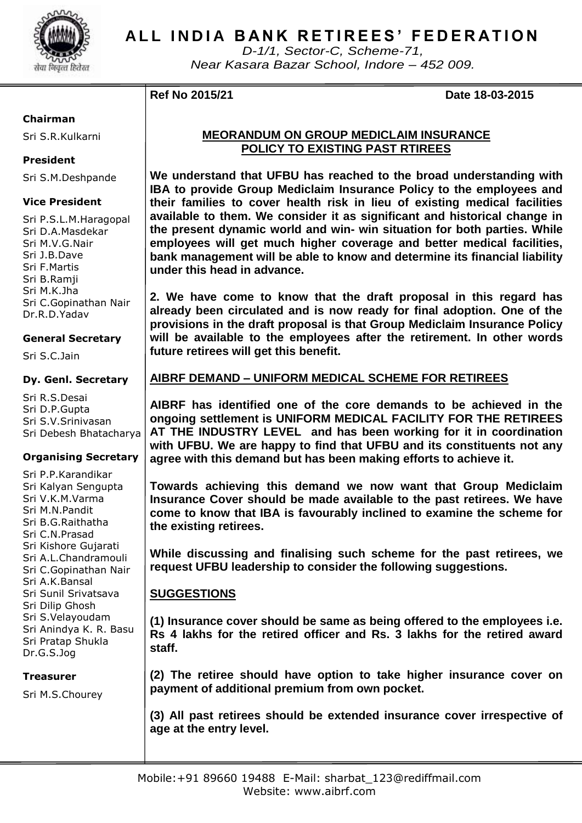

# **ALL INDIA BANK RETIREES' FEDERATION**

*D-1/1, Sector-C, Scheme-71, Near Kasara Bazar School, Indore – 452 009.*

**Ref No 2015/21 Date 18-03-2015**

### **Chairman**

Sri S.R.Kulkarni

# **President**

Sri S.M.Deshpande

# **Vice President**

Sri P.S.L.M.Haragopal Sri D.A.Masdekar Sri M.V.G.Nair Sri J.B.Dave Sri F.Martis Sri B.Ramji Sri M.K.Jha Sri C.Gopinathan Nair Dr.R.D.Yadav

# **General Secretary**

Sri S.C.Jain

#### **Dy. Genl. Secretary**

Sri R.S.Desai Sri D.P.Gupta Sri S.V.Srinivasan Sri Debesh Bhatacharya

### **Organising Secretary**

Sri P.P.Karandikar Sri Kalyan Sengupta Sri V.K.M.Varma Sri M.N.Pandit Sri B.G.Raithatha Sri C.N.Prasad Sri Kishore Gujarati Sri A.L.Chandramouli Sri C.Gopinathan Nair Sri A.K.Bansal Sri Sunil Srivatsava Sri Dilip Ghosh Sri S.Velayoudam Sri Anindya K. R. Basu Sri Pratap Shukla Dr.G.S.Jog

**Treasurer**

Sri M.S.Chourey

# **MEORANDUM ON GROUP MEDICLAIM INSURANCE POLICY TO EXISTING PAST RTIREES**

**We understand that UFBU has reached to the broad understanding with IBA to provide Group Mediclaim Insurance Policy to the employees and their families to cover health risk in lieu of existing medical facilities available to them. We consider it as significant and historical change in the present dynamic world and win- win situation for both parties. While employees will get much higher coverage and better medical facilities, bank management will be able to know and determine its financial liability under this head in advance.**

**2. We have come to know that the draft proposal in this regard has already been circulated and is now ready for final adoption. One of the provisions in the draft proposal is that Group Mediclaim Insurance Policy will be available to the employees after the retirement. In other words future retirees will get this benefit.**

# **AIBRF DEMAND – UNIFORM MEDICAL SCHEME FOR RETIREES**

**AIBRF has identified one of the core demands to be achieved in the ongoing settlement is UNIFORM MEDICAL FACILITY FOR THE RETIREES AT THE INDUSTRY LEVEL and has been working for it in coordination with UFBU. We are happy to find that UFBU and its constituents not any agree with this demand but has been making efforts to achieve it.**

**Towards achieving this demand we now want that Group Mediclaim Insurance Cover should be made available to the past retirees. We have come to know that IBA is favourably inclined to examine the scheme for the existing retirees.**

**While discussing and finalising such scheme for the past retirees, we request UFBU leadership to consider the following suggestions.**

# **SUGGESTIONS**

**(1) Insurance cover should be same as being offered to the employees i.e. Rs 4 lakhs for the retired officer and Rs. 3 lakhs for the retired award staff.**

**(2) The retiree should have option to take higher insurance cover on payment of additional premium from own pocket.**

**(3) All past retirees should be extended insurance cover irrespective of age at the entry level.**